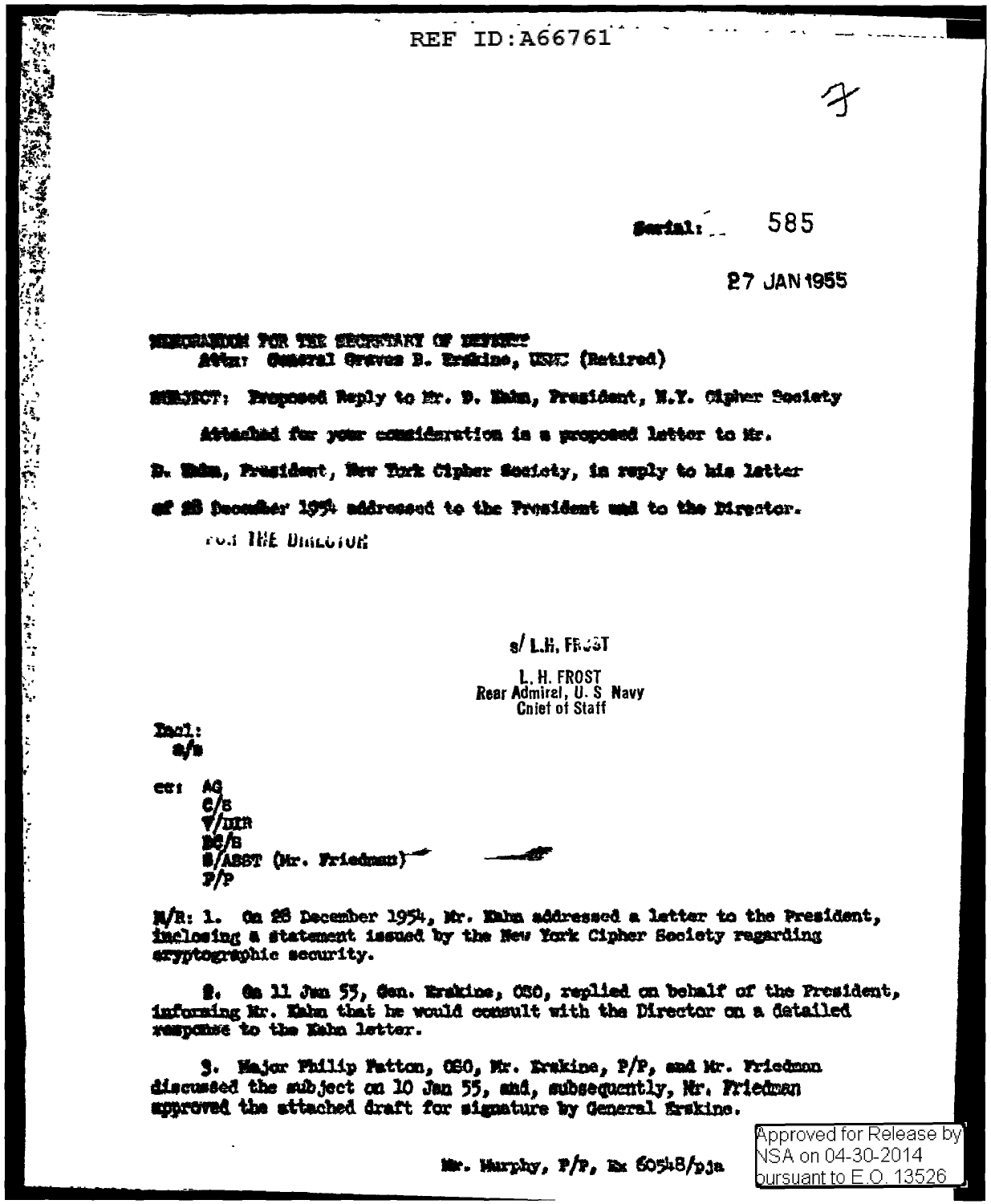**REF ID: A66761** 

585 farial:

**27 JAN 1955** 

## MENCELSKOM TOR THE EROPSTARY OF DEFERRY Attur Comeral Graves B. Erskine, USC (Retired)

SORNOCT: Proposed Reply to Mr. D. Wake, President, N.Y. Cipher Society

Attached for your consideration is a proposed letter to Mr.

D. Whim, Frasident, New York Cipher Society, in reply to his letter

of 28 December 1954 addressed to the President und to the Director.

ron THE BINLOIDE

 $s/L$ .H. FRGST

L.H. FROST Rear Admiral, U.S. Navy **Chief of Staff** 

**Ball**:

「大家の地方の地方の地方の地方」とは、その地方の地方のように、その他の地方のように、その他のことを見ることに、その他の地方の地方の地方のある。その他に、この他のことを見ることになっている。その他には、 こうしょう かんきょう

CU 1 **T/IIIR** л #/ABST (Mr. Friedman) 7/P

M/R: 1. On 25 December 1954, Mr. Eakn addressed a letter to the President, inclosing a statement issued by the New York Cipher Society regarding aryptographic scourity.

2. Ga 11 Jan 55, Gan. Erakine, OSO, replied on behalf of the President, informing Mr. Wake that he would consult with the Director on a datailed response to the Kahn letter.

3. Major Philip Fatton, OSO, Mr. Erskine, P/P, and Mr. Friedman discussed the subject on 10 Jan 55, and, subsequently, Mr. Friedman approved the attached draft for signature by General firskine.

> **Approved for Release by** NSA on 04-30-2014 bursuant <u>to E.O. 13526</u>

Mr. Wurphy, P/P, Ex 60548/pja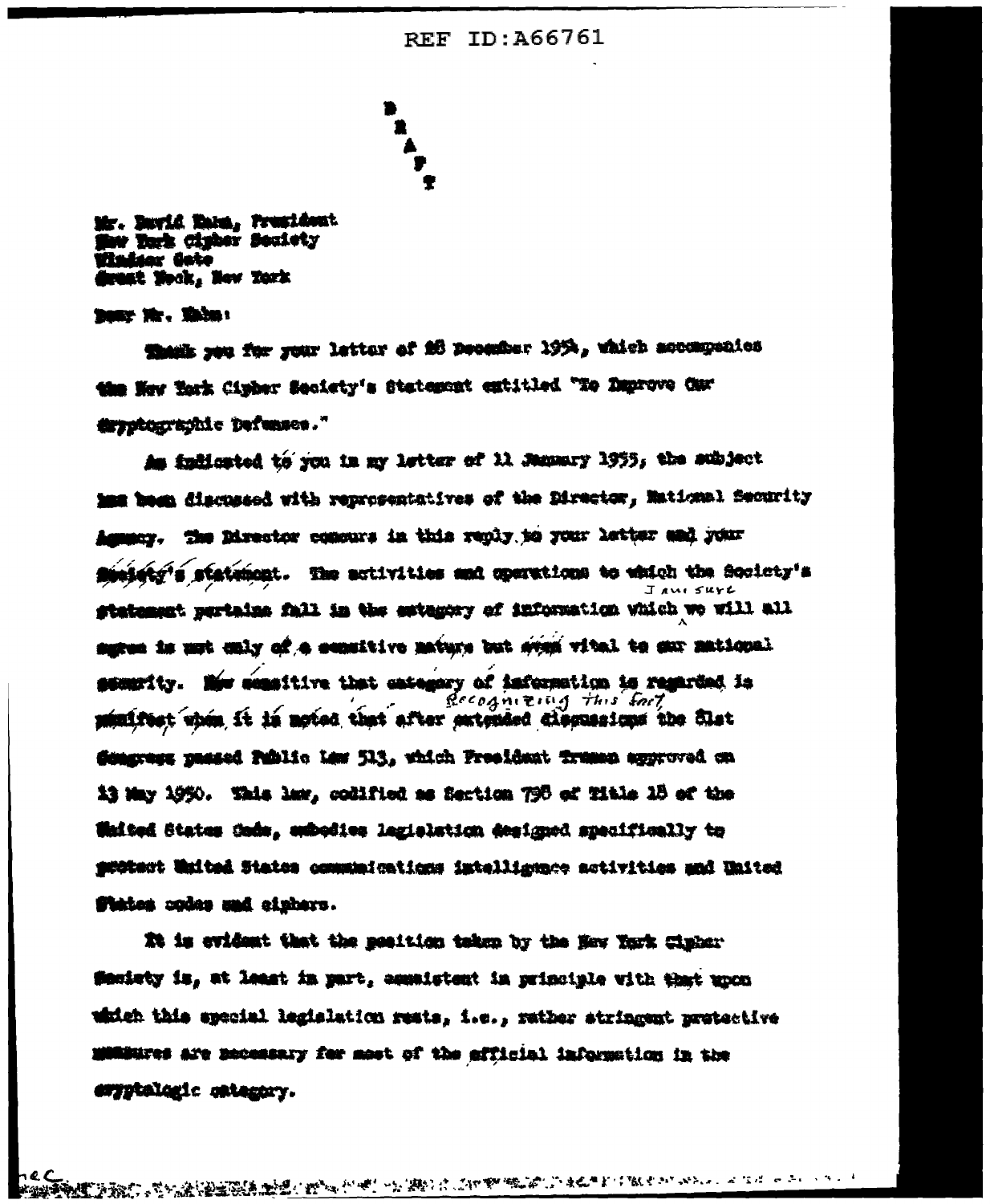## **REF ID: A66761**

Mr. Burid Bama, President w York Cipher Soulety Windsox Gote draat Nook, New York

now Mr. Mile:

Thank you for your letter of 26 December 1954, which accompanies the New York Cipber Seciety's Statement extitled "To Deprove Car dryptographic Defunses."

As indicated to you in my letter of 11 Manuary 1955, the subject me been discussed with reprosentatives of the Director, Mational Security Ammany. The Director compure in this reply to your letter and your finisting statement. The activities and operations to which the Society's  $I$  and  $S$ urt gtatement pertains fall in the estagery of information which we will all sures is mut enly of a sensitive mature but step witel to sur matiqual semanity. Mor seasitive that extegery of information is regarded in Recognizing this fait minifest when it is noted that after extended discussions the Slat Gengrage passed Public Law 513, which President Transp approved on 13 May 1950. Whis law, codified as Section 798 ed Title 18 ed the **Whited States Code, embedies lagislation designed specifically to** gudtest Waited States communications intelligence activities and United States oplas sad eighers.

It is evident that the position taken by the New York Cinhar finatety is, at least in part, consistent in principle with that upon which this special legislation rests, i.e., rather stringent protective mentures are mecessary for most of the efficial information in the esyptalegic estegory.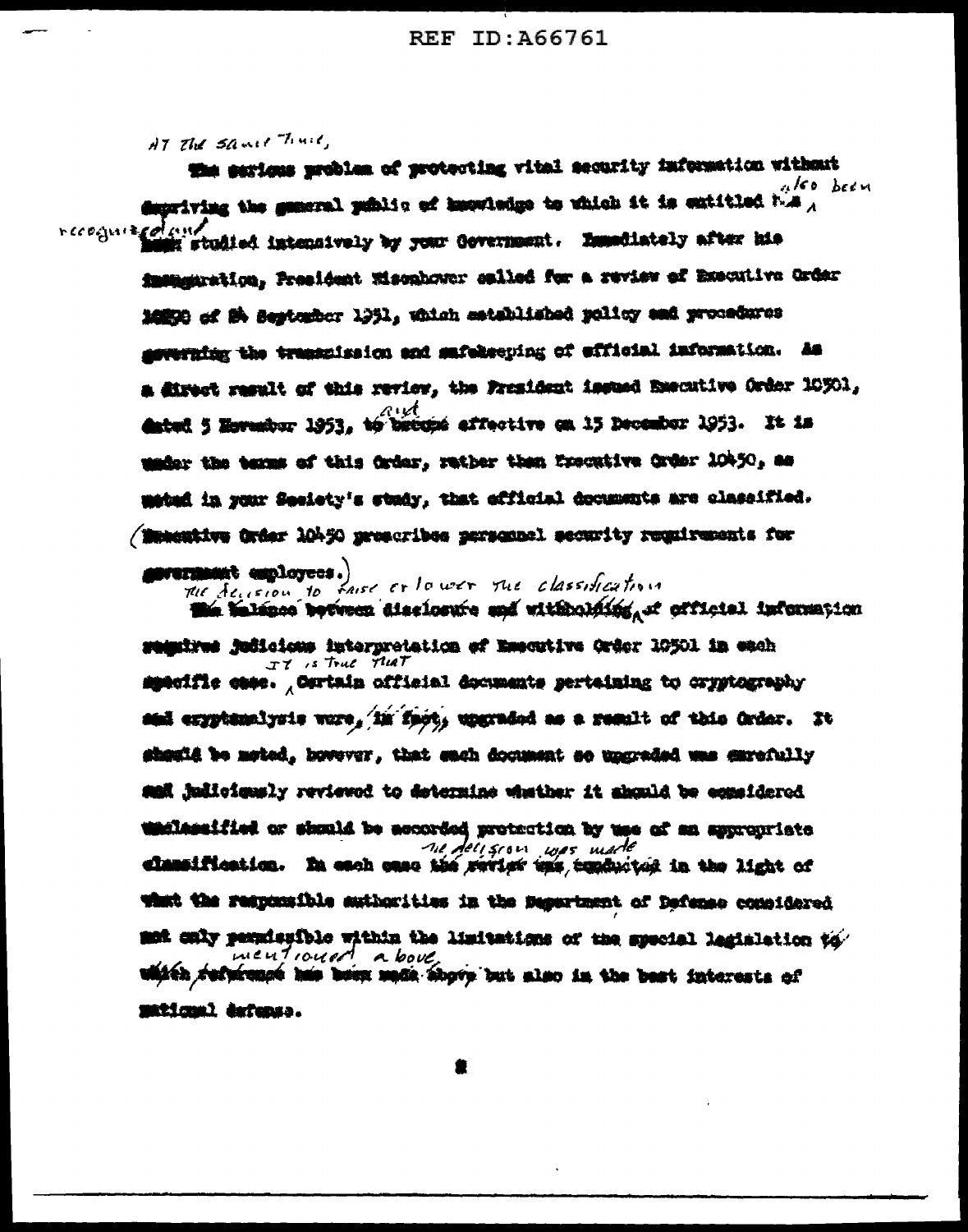AT The same Time,

the serious problem of protecting vital security information without ulso been departving the general public of knowledge to which it is extitled bus  $\overline{\phantom{a}}$ recognization in studied intensively by your Government. Emmediately after his imangaration, President Misonhower salled for a review of Executive Order 16850 of St September 1951, which established policy and procedures geverning the transmission and safekeeping of efficial information. As a direct regult of this review, the President insued Executive Order 10301. avet dated 5 Hormsbur 1953, to become affective on 15 December 1953. It is under the terms of this Order, rather than Executive Order 10450, as mated in your Sesiety's study, that efficial documents are classified. / Manestive Order 10450 proscribes personnel security regulaements for

> mermant employees.) The decision to faise or lower the classification

the balance between dissinsure and withholding, it efficial information semmires judicions interpretation of Emecutive Order 10501 in each IT is True THAT specific case. Ourtain official documents pertaining to cryptography sam eryptemalysis were, in fact, upgraded as a result of this Order. It shauli be meted, hovever, that each document so ungraded was carefully sal judiciously reviewed to determine whether it abould be equaldered undlessified or should be accorded protection by use of an appropriate ne deligion was made elansification. In each case the sevier uns tendwitch in the light of what the responsible authorities in the Department of Defense considered mot caly permissible within the limitations of the special legislation to mentioned above. which refuremed has been made shows but also in the best interests of maticum) defenso.

2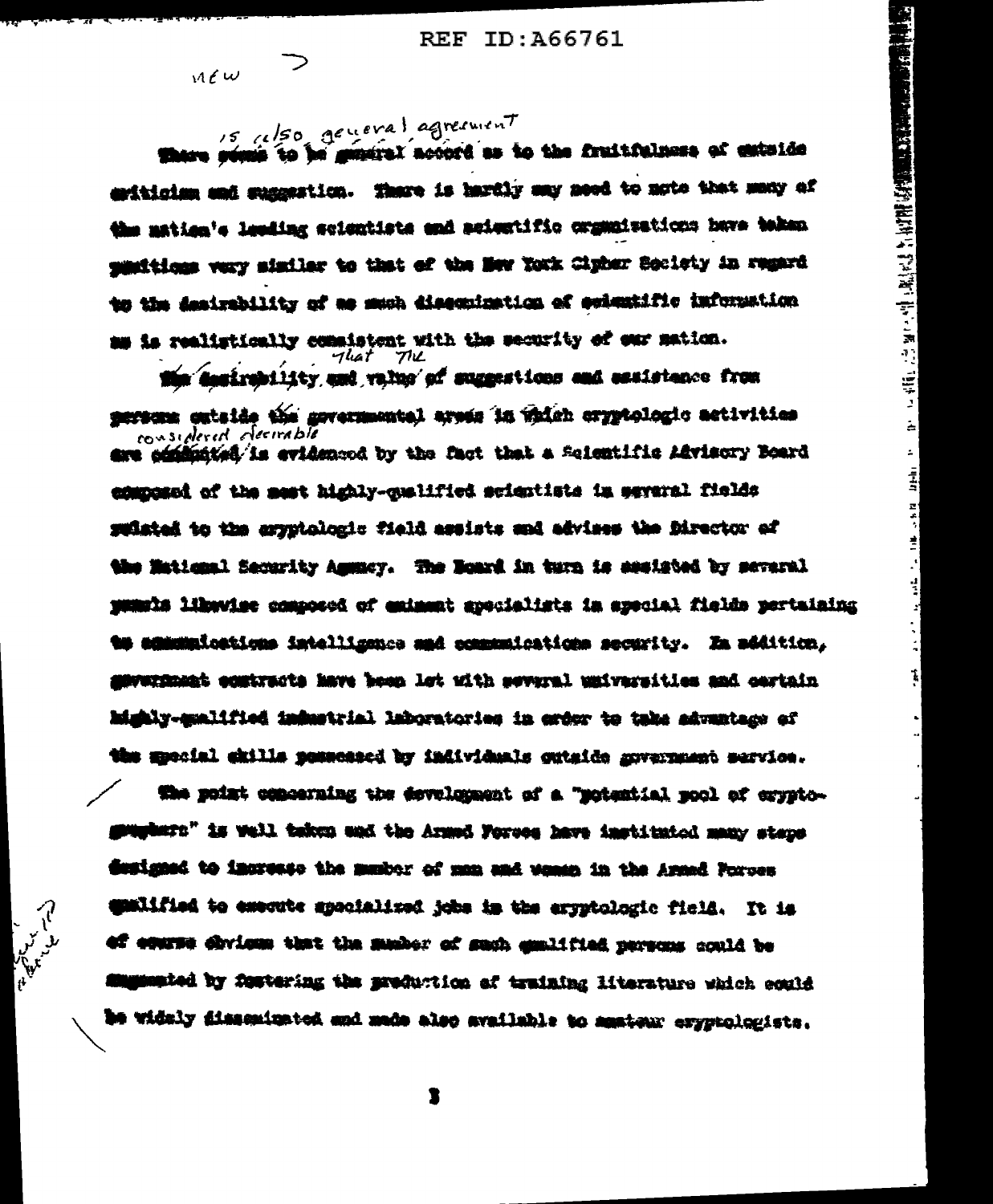$-101$ 

ᅬ

 $\sim$  $\frac{1}{2}$ 

 $\frac{1}{2}$ 

Ė  $\cdot$ 

 $\frac{1}{2}$ 

 $\mathbf{t}$ 

 $M \ell \omega$ 

15 also general agreement

There seems to be general accord as to the fruitfulness of exterior estinging and suggestion. There is hardly any need to note that many of the mation's leading scientists and acientific organizations have token munitions very similar to that of the New York Cipher Society in remard to the desirability of as much diseculastics of evientific information am is realistically consistent with the security of our mation. rliat  $77L$ 

the desirebility and value of suggestions and essistence from mersum cataide the governmental areas in which cryptologic activities considered decirable are committed is evidenced by the fact that a Seientific Advisory Board eduposed of the meet highly-qualified scientists in several fields ruisted to the aryptologic field assists and advises the Director of the Matiqual Security Amusoy. The Noard in turn is secisted by several pumple liberise composed of emiment apocialists in apocial fields pertuining **to edmunications intelligence and economications security. In addition,** mawargamat equtracts have been let with several universities and cartain highly-malified industrial laboratories in order to take advantage of the mpocial chills possessed by individuals gutaide movernment service.

the point comcerning the development of a "motential mool of cryptomumbers" is well taken and the Armed Forces have instituted many staps Gusigned to increase the musher of man and women in the Armed Porces qualified to emecute specialized jobs in the errytologic field. It is of course shylone that the manber of such conlitied persons could be diminated by fastering the preduction of training literature which could be widely fissemiunted and made also available to manteur exyptologists.

1